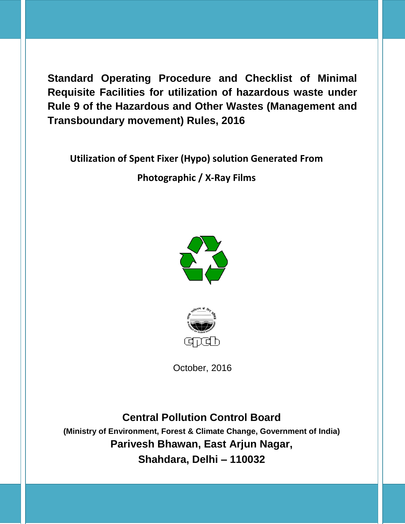**Utilization of Spent Fixer (Hypo) solution Generated From** 

**Photographic / X-Ray Films** 





October, 2016

**Central Pollution Control Board (Ministry of Environment, Forest & Climate Change, Government of India) Parivesh Bhawan, East Arjun Nagar, Shahdara, Delhi – 110032**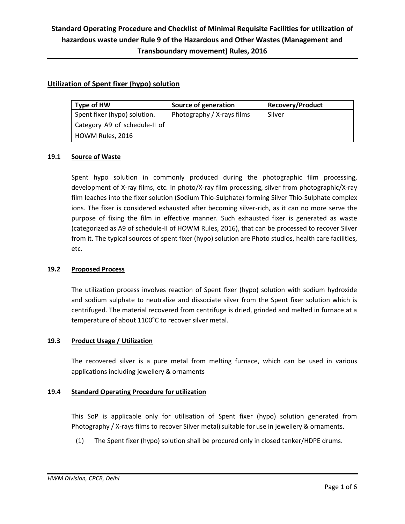### **Utilization of Spent fixer (hypo) solution**

| Type of HW                    | Source of generation       | <b>Recovery/Product</b> |
|-------------------------------|----------------------------|-------------------------|
| Spent fixer (hypo) solution.  | Photography / X-rays films | Silver                  |
| Category A9 of schedule-II of |                            |                         |
| HOWM Rules, 2016              |                            |                         |

#### **19.1 Source of Waste**

Spent hypo solution in commonly produced during the photographic film processing, development of X-ray films, etc. In photo/X-ray film processing, silver from photographic/X-ray film leaches into the fixer solution (Sodium Thio-Sulphate) forming Silver Thio-Sulphate complex ions. The fixer is considered exhausted after becoming silver-rich, as it can no more serve the purpose of fixing the film in effective manner. Such exhausted fixer is generated as waste (categorized as A9 of schedule-II of HOWM Rules, 2016), that can be processed to recover Silver from it. The typical sources of spent fixer (hypo) solution are Photo studios, health care facilities, etc.

#### **19.2 Proposed Process**

The utilization process involves reaction of Spent fixer (hypo) solution with sodium hydroxide and sodium sulphate to neutralize and dissociate silver from the Spent fixer solution which is centrifuged. The material recovered from centrifuge is dried, grinded and melted in furnace at a temperature of about  $1100^{\circ}$ C to recover silver metal.

#### **19.3 Product Usage / Utilization**

The recovered silver is a pure metal from melting furnace, which can be used in various applications including jewellery & ornaments

#### **19.4 Standard Operating Procedure for utilization**

This SoP is applicable only for utilisation of Spent fixer (hypo) solution generated from Photography / X-rays films to recover Silver metal) suitable for use in jewellery & ornaments.

(1) The Spent fixer (hypo) solution shall be procured only in closed tanker/HDPE drums.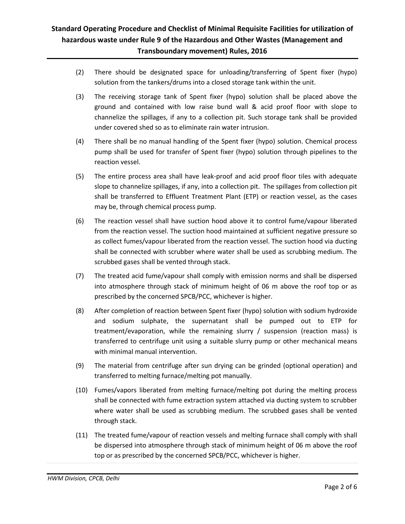- (2) There should be designated space for unloading/transferring of Spent fixer (hypo) solution from the tankers/drums into a closed storage tank within the unit.
- (3) The receiving storage tank of Spent fixer (hypo) solution shall be placed above the ground and contained with low raise bund wall & acid proof floor with slope to channelize the spillages, if any to a collection pit. Such storage tank shall be provided under covered shed so as to eliminate rain water intrusion.
- (4) There shall be no manual handling of the Spent fixer (hypo) solution. Chemical process pump shall be used for transfer of Spent fixer (hypo) solution through pipelines to the reaction vessel.
- (5) The entire process area shall have leak-proof and acid proof floor tiles with adequate slope to channelize spillages, if any, into a collection pit. The spillages from collection pit shall be transferred to Effluent Treatment Plant (ETP) or reaction vessel, as the cases may be, through chemical process pump.
- (6) The reaction vessel shall have suction hood above it to control fume/vapour liberated from the reaction vessel. The suction hood maintained at sufficient negative pressure so as collect fumes/vapour liberated from the reaction vessel. The suction hood via ducting shall be connected with scrubber where water shall be used as scrubbing medium. The scrubbed gases shall be vented through stack.
- (7) The treated acid fume/vapour shall comply with emission norms and shall be dispersed into atmosphere through stack of minimum height of 06 m above the roof top or as prescribed by the concerned SPCB/PCC, whichever is higher.
- (8) After completion of reaction between Spent fixer (hypo) solution with sodium hydroxide and sodium sulphate, the supernatant shall be pumped out to ETP for treatment/evaporation, while the remaining slurry / suspension (reaction mass) is transferred to centrifuge unit using a suitable slurry pump or other mechanical means with minimal manual intervention.
- (9) The material from centrifuge after sun drying can be grinded (optional operation) and transferred to melting furnace/melting pot manually.
- (10) Fumes/vapors liberated from melting furnace/melting pot during the melting process shall be connected with fume extraction system attached via ducting system to scrubber where water shall be used as scrubbing medium. The scrubbed gases shall be vented through stack.
- (11) The treated fume/vapour of reaction vessels and melting furnace shall comply with shall be dispersed into atmosphere through stack of minimum height of 06 m above the roof top or as prescribed by the concerned SPCB/PCC, whichever is higher.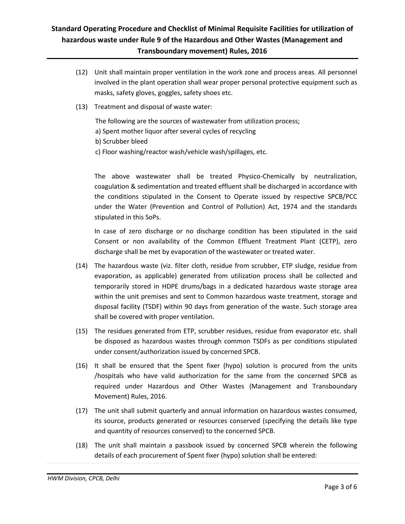- (12) Unit shall maintain proper ventilation in the work zone and process areas. All personnel involved in the plant operation shall wear proper personal protective equipment such as masks, safety gloves, goggles, safety shoes etc.
- (13) Treatment and disposal of waste water:

The following are the sources of wastewater from utilization process;

a) Spent mother liquor after several cycles of recycling

b) Scrubber bleed

c) Floor washing/reactor wash/vehicle wash/spillages, etc.

The above wastewater shall be treated Physico-Chemically by neutralization, coagulation & sedimentation and treated effluent shall be discharged in accordance with the conditions stipulated in the Consent to Operate issued by respective SPCB/PCC under the Water (Prevention and Control of Pollution) Act, 1974 and the standards stipulated in this SoPs.

In case of zero discharge or no discharge condition has been stipulated in the said Consent or non availability of the Common Effluent Treatment Plant (CETP), zero discharge shall be met by evaporation of the wastewater or treated water.

- (14) The hazardous waste (viz. filter cloth, residue from scrubber, ETP sludge, residue from evaporation, as applicable) generated from utilization process shall be collected and temporarily stored in HDPE drums/bags in a dedicated hazardous waste storage area within the unit premises and sent to Common hazardous waste treatment, storage and disposal facility (TSDF) within 90 days from generation of the waste. Such storage area shall be covered with proper ventilation.
- (15) The residues generated from ETP, scrubber residues, residue from evaporator etc. shall be disposed as hazardous wastes through common TSDFs as per conditions stipulated under consent/authorization issued by concerned SPCB.
- (16) It shall be ensured that the Spent fixer (hypo) solution is procured from the units /hospitals who have valid authorization for the same from the concerned SPCB as required under Hazardous and Other Wastes (Management and Transboundary Movement) Rules, 2016.
- (17) The unit shall submit quarterly and annual information on hazardous wastes consumed, its source, products generated or resources conserved (specifying the details like type and quantity of resources conserved) to the concerned SPCB.
- (18) The unit shall maintain a passbook issued by concerned SPCB wherein the following details of each procurement of Spent fixer (hypo) solution shall be entered: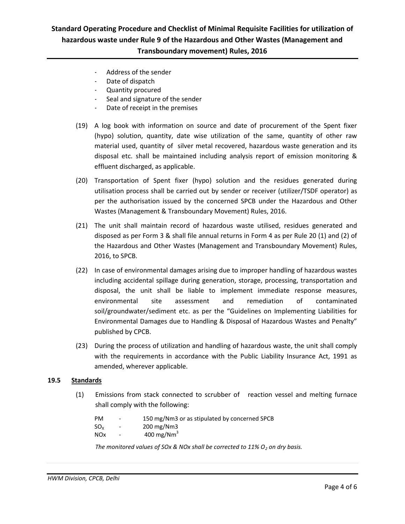- Address of the sender
- Date of dispatch
- Quantity procured
- Seal and signature of the sender
- Date of receipt in the premises
- (19) A log book with information on source and date of procurement of the Spent fixer (hypo) solution, quantity, date wise utilization of the same, quantity of other raw material used, quantity of silver metal recovered, hazardous waste generation and its disposal etc. shall be maintained including analysis report of emission monitoring & effluent discharged, as applicable.
- (20) Transportation of Spent fixer (hypo) solution and the residues generated during utilisation process shall be carried out by sender or receiver (utilizer/TSDF operator) as per the authorisation issued by the concerned SPCB under the Hazardous and Other Wastes (Management & Transboundary Movement) Rules, 2016.
- (21) The unit shall maintain record of hazardous waste utilised, residues generated and disposed as per Form 3 & shall file annual returns in Form 4 as per Rule 20 (1) and (2) of the Hazardous and Other Wastes (Management and Transboundary Movement) Rules, 2016, to SPCB.
- (22) In case of environmental damages arising due to improper handling of hazardous wastes including accidental spillage during generation, storage, processing, transportation and disposal, the unit shall be liable to implement immediate response measures, environmental site assessment and remediation of contaminated soil/groundwater/sediment etc. as per the "Guidelines on Implementing Liabilities for Environmental Damages due to Handling & Disposal of Hazardous Wastes and Penalty" published by CPCB.
- (23) During the process of utilization and handling of hazardous waste, the unit shall comply with the requirements in accordance with the Public Liability Insurance Act, 1991 as amended, wherever applicable.

#### **19.5 Standards**

(1) Emissions from stack connected to scrubber of reaction vessel and melting furnace shall comply with the following:

| <b>PM</b>  | $\overline{\phantom{a}}$ | 150 mg/Nm3 or as stipulated by concerned SPCB |
|------------|--------------------------|-----------------------------------------------|
| $SO_{Y}$   | $\overline{\phantom{a}}$ | $200 \,\mathrm{mg}/\mathrm{Nm}$ 3             |
| <b>NOx</b> | $\overline{\phantom{a}}$ | 400 mg/N $m3$                                 |

*The monitored values of SOx & NOx shall be corrected to 11% O<sup>2</sup> on dry basis.*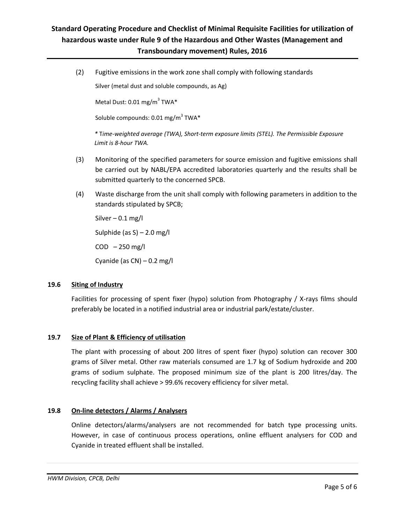(2) Fugitive emissions in the work zone shall comply with following standards

[Silver \(metal dust and soluble compounds, as Ag\)](http://www.cdc.gov/niosh/npg/npgd0557.html)

Metal Dust: 0.01 mg/m<sup>3</sup> TWA\*

Soluble compounds: 0.01 mg/m $^3$  TWA $^*$ 

*\** T*ime-weighted average (TWA), [Short-term exposure limits](https://en.wikipedia.org/wiki/Short-term_exposure_limit) (STEL). The Permissible Exposure Limit is 8-hour TWA.*

- (3) Monitoring of the specified parameters for source emission and fugitive emissions shall be carried out by NABL/EPA accredited laboratories quarterly and the results shall be submitted quarterly to the concerned SPCB.
- (4) Waste discharge from the unit shall comply with following parameters in addition to the standards stipulated by SPCB;

Silver  $-0.1$  mg/l Sulphide (as S) – 2.0 mg/l  $COD - 250$  mg/l Cyanide (as  $CN$ ) – 0.2 mg/l

### **19.6 Siting of Industry**

Facilities for processing of spent fixer (hypo) solution from Photography / X-rays films should preferably be located in a notified industrial area or industrial park/estate/cluster.

### **19.7 Size of Plant & Efficiency of utilisation**

The plant with processing of about 200 litres of spent fixer (hypo) solution can recover 300 grams of Silver metal. Other raw materials consumed are 1.7 kg of Sodium hydroxide and 200 grams of sodium sulphate. The proposed minimum size of the plant is 200 litres/day. The recycling facility shall achieve > 99.6% recovery efficiency for silver metal.

### **19.8 On-line detectors / Alarms / Analysers**

Online detectors/alarms/analysers are not recommended for batch type processing units. However, in case of continuous process operations, online effluent analysers for COD and Cyanide in treated effluent shall be installed.